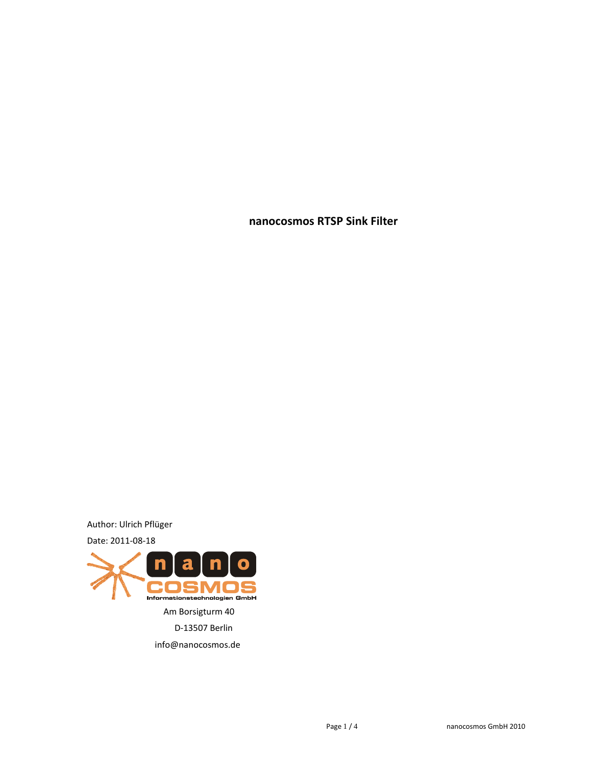**nanocosmos RTSP Sink Filter**

Author: Ulrich Pflüger

Date: 2011-08-18

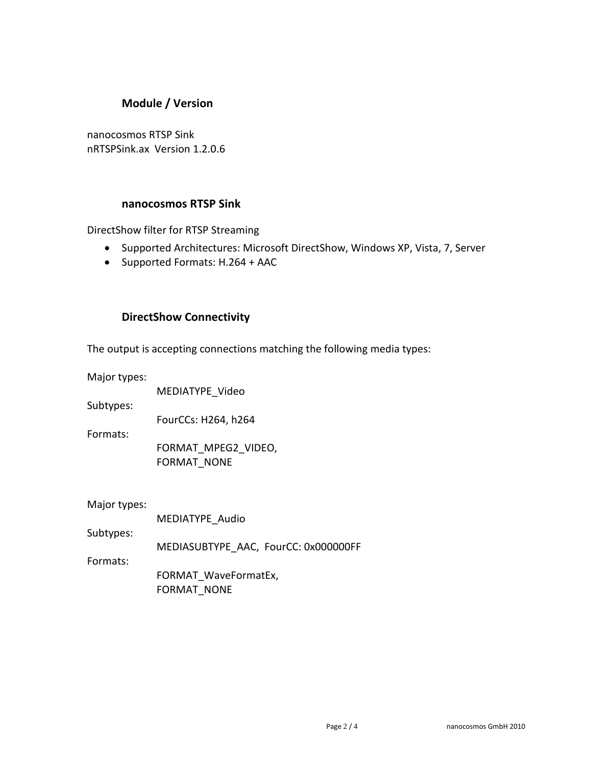# **Module / Version**

nanocosmos RTSP Sink nRTSPSink.ax Version 1.2.0.6

### **nanocosmos RTSP Sink**

DirectShow filter for RTSP Streaming

- Supported Architectures: Microsoft DirectShow, Windows XP, Vista, 7, Server
- Supported Formats: H.264 + AAC

### **DirectShow Connectivity**

The output is accepting connections matching the following media types:

Major types:

MEDIATYPE\_Video

Subtypes:

FourCCs: H264, h264

Formats:

FORMAT\_MPEG2\_VIDEO, FORMAT\_NONE

Major types:

|           | MEDIATYPE Audio                      |
|-----------|--------------------------------------|
| Subtypes: |                                      |
|           | MEDIASUBTYPE AAC, FourCC: 0x000000FF |
| Formats:  |                                      |
|           | FORMAT WaveFormatEx,                 |
|           | <b>FORMAT NONE</b>                   |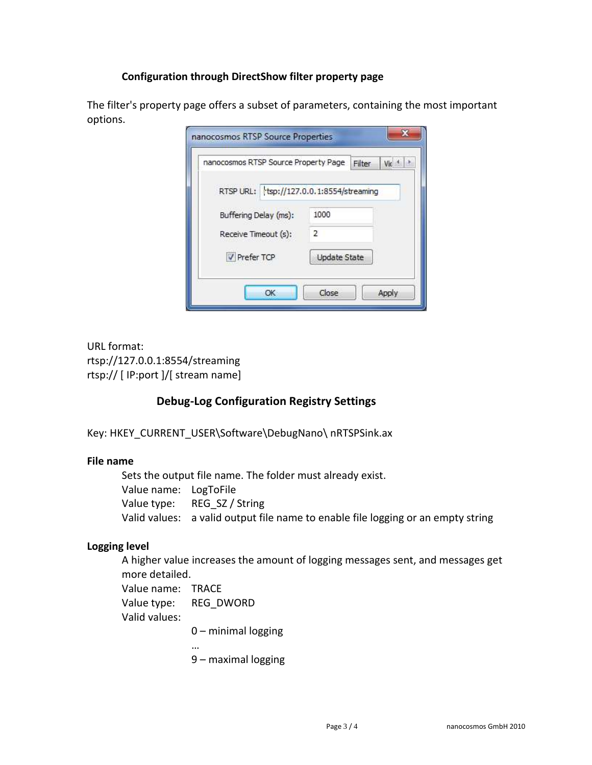### **Configuration through DirectShow filter property page**

The filter's property page offers a subset of parameters, containing the most important options.

| nanocosmos RTSP Source Property Page     | Filter              | Vic |
|------------------------------------------|---------------------|-----|
| RTSP URL: tsp://127.0.0.1:8554/streaming |                     |     |
| Buffering Delay (ms):                    | 1000                |     |
| Receive Timeout (s):                     | $\overline{2}$      |     |
| <b>V</b> Prefer TCP                      | <b>Update State</b> |     |

URL format: rtsp://127.0.0.1:8554/streaming rtsp:// [ IP:port ]/[ stream name]

### **Debug-Log Configuration Registry Settings**

Key: HKEY\_CURRENT\_USER\Software\DebugNano\ nRTSPSink.ax

### **File name**

Sets the output file name. The folder must already exist. Value name: LogToFile Value type: REG\_SZ / String Valid values: a valid output file name to enable file logging or an empty string

### **Logging level**

A higher value increases the amount of logging messages sent, and messages get more detailed.

Value name: TRACE Value type: REG\_DWORD Valid values:

0 – minimal logging

… 9 – maximal logging